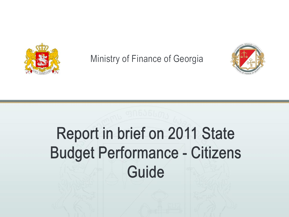

Ministry of Finance of Georgia



# Report in brief on 2011 State Budget Performance - Citizens Guide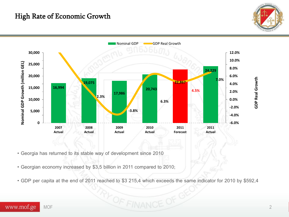# High Rate of Economic Growth



**GDP Real Growth**



- Georgia has returned to its stable way of development since 2010
- Georgian economy increased by \$3,5 billion in 2011 compared to 2010;
- GDP per capita at the end of 2011 reached to \$3 215,4 which exceeds the same indicator for 2010 by \$592,4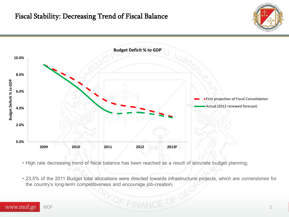### Fiscal Stability: Decreasing Trend of Fiscal Balance



• High rate decreasing trend of fiscal balance has been reached as a result of accurate budget planning;

• 23,5% of the 2011 Budget total allocations were directed towards infrastructural projects, which are cornerstones for the country's long-term competitiveness and encourage job-creation;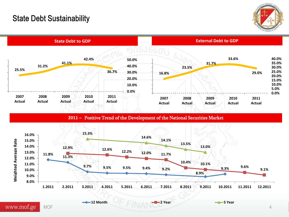# State Debt Sustainability





**2011** \_ Positive Trend of the Development of the National Securities Market



**12 Month 2 Year 2 Year 2 Year 2 Year 2 Year 2 Year 2 Year 2 Year 2 Year 2 Year** 

 $MOF$  4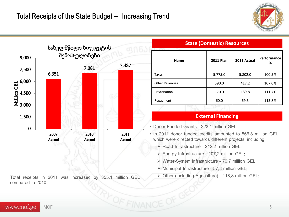



Total receipts in 2011 was increased by 355.1 million GEL compared to 2010

| State (Bonnestic) Resources |                  |             |                  |
|-----------------------------|------------------|-------------|------------------|
| <b>Name</b>                 | <b>2011 Plan</b> | 2011 Actual | Performance<br>% |
| Taxes                       | 5,775.0          | 5,802.0     | 100.5%           |
| <b>Other Revenues</b>       | 390.0            | 417.2       | 107.0%           |
| Privatization               | 170.0            | 189.8       | 111.7%           |
| Repayment                   | 60.0             | 69.5        | 115.8%           |

**State (Domestic) Resources**

#### **External Financing**

- Donor Funded Grants 223,1 million GEL;
- In 2011 donor funded credits amounted to 566.8 million GEL, which were directed towards different projects, including:
	- ▶ Road Infrastructure 212,2 million GEL;
	- $\triangleright$  Energy Infrastructure 107,2 million GEL;
	- Water-System Infrastructure 70,7 million GEL;
	- $\triangleright$  Municipal Infrastructure 57,8 million GEL;
	- $\triangleright$  Other (including Agriculture) 118,8 million GEL;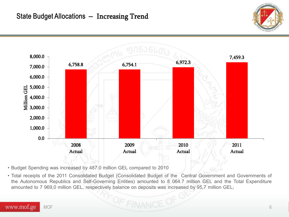# State Budget Allocations - Increasing Trend





• Budget Spending was increased by 487.0 million GEL compared to 2010

• Total receipts of the 2011 Consolidated Budget (Consolidated Budget of the Central Government and Governments of the Autonomous Republics and Self-Governing Entities) amounted to 8 064.7 million GEL and the Total Expenditure amounted to 7 969,0 million GEL, respectively balance on deposits was increased by 95,7 million GEL;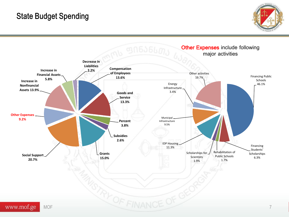# State Budget Spending



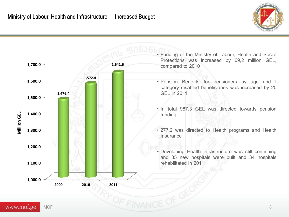

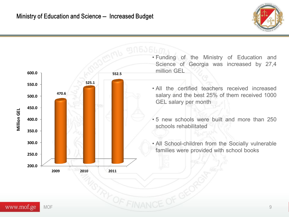



- Funding of the Ministry of Education and Science of Georgia was increased by 27,4 million GEL
- All the certified teachers received increased salary and the best 25% of them received 1000 GEL salary per month
- 5 new schools were built and more than 250 schools rehabilitated
- All School-children from the Socially vulnerable families were provided with school books